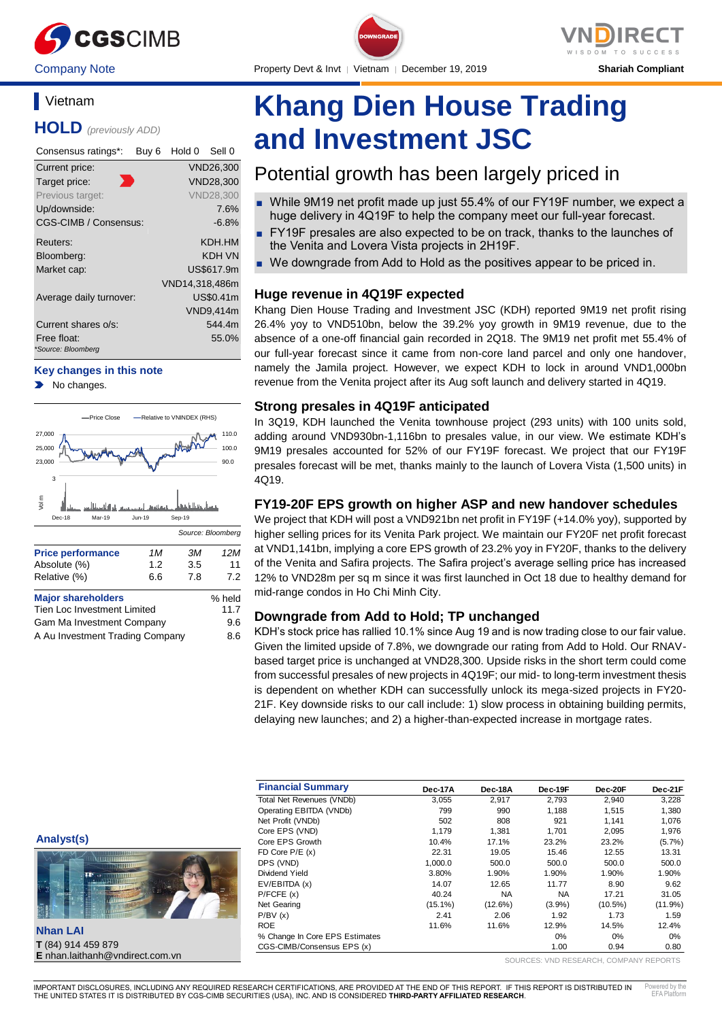

# **Vietnam**

**HOLD** *(previously ADD)*

| Consensus ratings*:               | Buy 6 | Hold 0         | Sell 0           |
|-----------------------------------|-------|----------------|------------------|
| Current price:                    |       |                | <b>VND26,300</b> |
| Target price:                     |       |                | VND28,300        |
| Previous target:                  |       |                | <b>VND28.300</b> |
| Up/downside:                      |       |                | 7.6%             |
| CGS-CIMB / Consensus:             |       |                | $-6.8\%$         |
| Reuters:                          |       |                | KDH HM           |
| Bloomberg:                        |       |                | KDH VN           |
| Market cap:                       |       |                | US\$617.9m       |
|                                   |       | VND14,318,486m |                  |
| Average daily turnover:           |       |                | US\$0.41m        |
|                                   |       |                | <b>VND9,414m</b> |
| Current shares o/s:               |       |                | 544.4m           |
| Free float:<br>*Source: Bloomberg |       |                | 55.0%            |

#### **Key changes in this note**

No changes.



A Au Investment Trading Company 8.6

**Khang Dien House Trading and Investment JSC**

# Potential growth has been largely priced in

- While 9M19 net profit made up just 55.4% of our FY19F number, we expect a huge delivery in 4Q19F to help the company meet our full-year forecast.
- FY19F presales are also expected to be on track, thanks to the launches of the Venita and Lovera Vista projects in 2H19F.
- We downgrade from Add to Hold as the positives appear to be priced in.

# **Huge revenue in 4Q19F expected**

Khang Dien House Trading and Investment JSC (KDH) reported 9M19 net profit rising 26.4% yoy to VND510bn, below the 39.2% yoy growth in 9M19 revenue, due to the absence of a one-off financial gain recorded in 2Q18. The 9M19 net profit met 55.4% of our full-year forecast since it came from non-core land parcel and only one handover, namely the Jamila project. However, we expect KDH to lock in around VND1,000bn revenue from the Venita project after its Aug soft launch and delivery started in 4Q19.

# **Strong presales in 4Q19F anticipated**

In 3Q19, KDH launched the Venita townhouse project (293 units) with 100 units sold, adding around VND930bn-1,116bn to presales value, in our view. We estimate KDH's 9M19 presales accounted for 52% of our FY19F forecast. We project that our FY19F presales forecast will be met, thanks mainly to the launch of Lovera Vista (1,500 units) in 4Q19.

# **FY19-20F EPS growth on higher ASP and new handover schedules**

We project that KDH will post a VND921bn net profit in FY19F (+14.0% yoy), supported by higher selling prices for its Venita Park project. We maintain our FY20F net profit forecast at VND1,141bn, implying a core EPS growth of 23.2% yoy in FY20F, thanks to the delivery of the Venita and Safira projects. The Safira project's average selling price has increased 12% to VND28m per sq m since it was first launched in Oct 18 due to healthy demand for mid-range condos in Ho Chi Minh City.

# **Downgrade from Add to Hold; TP unchanged**

KDH's stock price has rallied 10.1% since Aug 19 and is now trading close to our fair value. Given the limited upside of 7.8%, we downgrade our rating from Add to Hold. Our RNAVbased target price is unchanged at VND28,300. Upside risks in the short term could come from successful presales of new projects in 4Q19F; our mid- to long-term investment thesis is dependent on whether KDH can successfully unlock its mega-sized projects in FY20- 21F. Key downside risks to our call include: 1) slow process in obtaining building permits, delaying new launches; and 2) a higher-than-expected increase in mortgage rates.

| <b>Financial Summary</b>       | Dec-17A    | Dec-18A    | Dec-19F   | Dec-20F    | Dec-21F    |
|--------------------------------|------------|------------|-----------|------------|------------|
| Total Net Revenues (VNDb)      | 3,055      | 2.917      | 2.793     | 2.940      | 3.228      |
| Operating EBITDA (VNDb)        | 799        | 990        | 1.188     | 1.515      | 1,380      |
| Net Profit (VNDb)              | 502        | 808        | 921       | 1.141      | 1,076      |
| Core EPS (VND)                 | 1.179      | 1.381      | 1.701     | 2.095      | 1,976      |
| Core EPS Growth                | 10.4%      | 17.1%      | 23.2%     | 23.2%      | $(5.7\%)$  |
| FD Core $P/E(x)$               | 22.31      | 19.05      | 15.46     | 12.55      | 13.31      |
| DPS (VND)                      | 1,000.0    | 500.0      | 500.0     | 500.0      | 500.0      |
| Dividend Yield                 | 3.80%      | 1.90%      | 1.90%     | 1.90%      | 1.90%      |
| EV/EBITDA (x)                  | 14.07      | 12.65      | 11.77     | 8.90       | 9.62       |
| P/FCFE(x)                      | 40.24      | <b>NA</b>  | <b>NA</b> | 17.21      | 31.05      |
| Net Gearing                    | $(15.1\%)$ | $(12.6\%)$ | $(3.9\%)$ | $(10.5\%)$ | $(11.9\%)$ |
| P/BV(x)                        | 2.41       | 2.06       | 1.92      | 1.73       | 1.59       |
| <b>ROE</b>                     | 11.6%      | 11.6%      | 12.9%     | 14.5%      | 12.4%      |
| % Change In Core EPS Estimates |            |            | 0%        | 0%         | 0%         |
| CGS-CIMB/Consensus EPS (x)     |            |            | 1.00      | 0.94       | 0.80       |

**Analyst(s)**



**T** (84) 914 459 879 **E** nhan.laithanh@vndirect.com.vn

SOURCES: VND RESEARCH, COMPANY REPORTS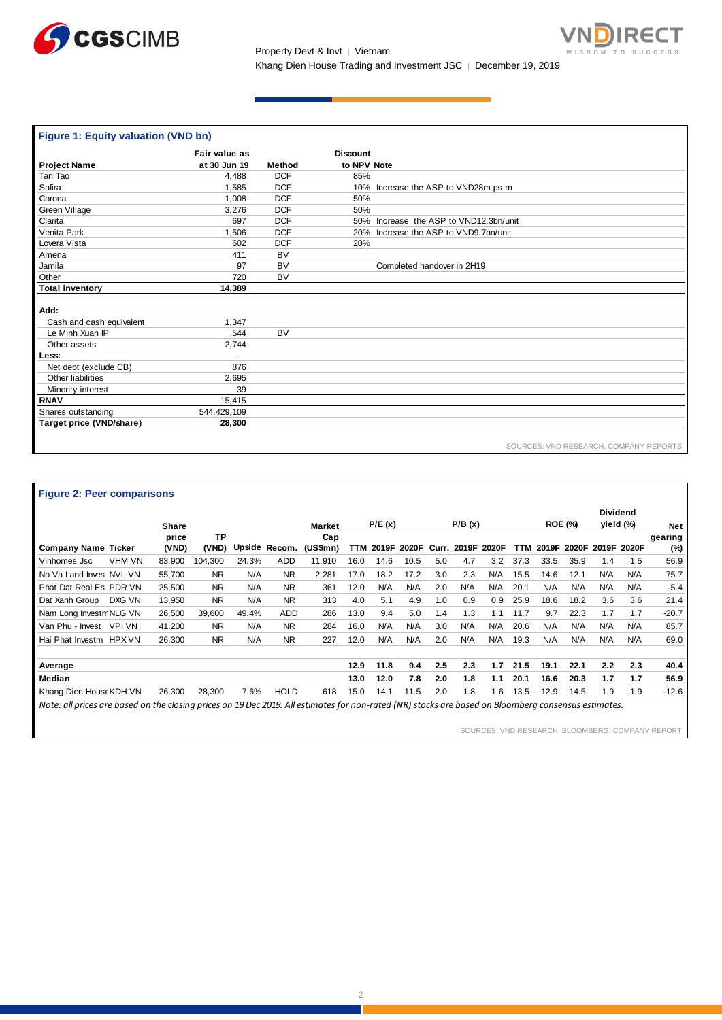



| Figure 1: Equity valuation (VND bn) |               |            |                                        |
|-------------------------------------|---------------|------------|----------------------------------------|
|                                     | Fair value as |            | <b>Discount</b>                        |
| <b>Project Name</b>                 | at 30 Jun 19  | Method     | to NPV Note                            |
| Tan Tao                             | 4,488         | <b>DCF</b> | 85%                                    |
| Safira                              | 1,585         | <b>DCF</b> | 10% Increase the ASP to VND28m ps m    |
| Corona                              | 1,008         | <b>DCF</b> | 50%                                    |
| Green Village                       | 3,276         | <b>DCF</b> | 50%                                    |
| Clarita                             | 697           | <b>DCF</b> | 50% Increase the ASP to VND12.3bn/unit |
| Venita Park                         | 1,506         | <b>DCF</b> | 20% Increase the ASP to VND9.7bn/unit  |
| Lovera Vista                        | 602           | <b>DCF</b> | 20%                                    |
| Amena                               | 411           | <b>BV</b>  |                                        |
| Jamila                              | 97            | <b>BV</b>  | Completed handover in 2H19             |
| Other                               | 720           | <b>BV</b>  |                                        |
| <b>Total inventory</b>              | 14,389        |            |                                        |
|                                     |               |            |                                        |
| Add:                                |               |            |                                        |
| Cash and cash equivalent            | 1,347         |            |                                        |
| Le Minh Xuan IP                     | 544           | <b>BV</b>  |                                        |
| Other assets                        | 2,744         |            |                                        |
| Less:                               |               |            |                                        |
| Net debt (exclude CB)               | 876           |            |                                        |
| Other liabilities                   | 2,695         |            |                                        |
| Minority interest                   | 39            |            |                                        |
| <b>RNAV</b>                         | 15,415        |            |                                        |
| Shares outstanding                  | 544,429,109   |            |                                        |
| Target price (VND/share)            | 28,300        |            |                                        |
|                                     |               |            | SOURCES: VND RESEARCH, COMPANY REPORTS |

**Figure 2: Peer comparisons**

|                               | Share          |                    |       |               | <b>Market</b>   |      | P/E(x) |       |       | P/B(x) |       |      | <b>ROE (%)</b> |       |               | <b>Dividend</b><br>yield (%) | <b>Net</b>     |
|-------------------------------|----------------|--------------------|-------|---------------|-----------------|------|--------|-------|-------|--------|-------|------|----------------|-------|---------------|------------------------------|----------------|
| <b>Company Name Ticker</b>    | price<br>(VND) | <b>TP</b><br>(VND) |       | Upside Recom. | Cap<br>(US\$mn) | TTM  | 2019F  | 2020F | Curr. | 2019F  | 2020F | TTM  | 2019F          | 2020F |               | 2019F 2020F                  | gearing<br>(%) |
| <b>VHM VN</b><br>Vinhomes Jsc | 83.900         | 104.300            | 24.3% | <b>ADD</b>    | 11.910          | 16.0 | 14.6   | 10.5  | 5.0   | 4.7    | 3.2   | 37.3 | 33.5           | 35.9  | 1.4           | 1.5                          | 56.9           |
| No Va Land Inves NVL VN       | 55,700         | <b>NR</b>          | N/A   | <b>NR</b>     | 2,281           | 17.0 | 18.2   | 17.2  | 3.0   | 2.3    | N/A   | 15.5 | 14.6           | 12.1  | N/A           | N/A                          | 75.7           |
| Phat Dat Real Es PDR VN       | 25,500         | <b>NR</b>          | N/A   | <b>NR</b>     | 361             | 12.0 | N/A    | N/A   | 2.0   | N/A    | N/A   | 20.1 | N/A            | N/A   | N/A           | N/A                          | $-5.4$         |
| Dat Xanh Group<br>DXG VN      | 13,950         | <b>NR</b>          | N/A   | <b>NR</b>     | 313             | 4.0  | 5.1    | 4.9   | 1.0   | 0.9    | 0.9   | 25.9 | 18.6           | 18.2  | 3.6           | 3.6                          | 21.4           |
| Nam Long InvestmNLG VN        | 26,500         | 39.600             | 49.4% | <b>ADD</b>    | 286             | 13.0 | 9.4    | 5.0   | 1.4   | 1.3    | 1.1   | 11.7 | 9.7            | 22.3  | 1.7           | 1.7                          | $-20.7$        |
| Van Phu - Invest VPI VN       | 41,200         | <b>NR</b>          | N/A   | <b>NR</b>     | 284             | 16.0 | N/A    | N/A   | 3.0   | N/A    | N/A   | 20.6 | N/A            | N/A   | N/A           | N/A                          | 85.7           |
| Hai Phat Investm HPX VN       | 26,300         | <b>NR</b>          | N/A   | <b>NR</b>     | 227             | 12.0 | N/A    | N/A   | 2.0   | N/A    | N/A   | 19.3 | N/A            | N/A   | N/A           | N/A                          | 69.0           |
| Average                       |                |                    |       |               |                 | 12.9 | 11.8   | 9.4   | 2.5   | 2.3    | 1.7   | 21.5 | 19.1           | 22.1  | $2.2^{\circ}$ | 2.3                          | 40.4           |
| Median                        |                |                    |       |               |                 | 13.0 | 12.0   | 7.8   | 2.0   | 1.8    | 1.1   | 20.1 | 16.6           | 20.3  | 1.7           | 1.7                          | 56.9           |
| Khang Dien House KDH VN       | 26.300         | 28.300             | 7.6%  | <b>HOLD</b>   | 618             | 15.0 | 14.1   | 11.5  | 2.0   | 1.8    | 1.6   | 13.5 | 12.9           | 14.5  | 1.9           | 1.9                          | $-12.6$        |

SOURCES: VND RESEARCH, BLOOMBERG, COMPANY REPORT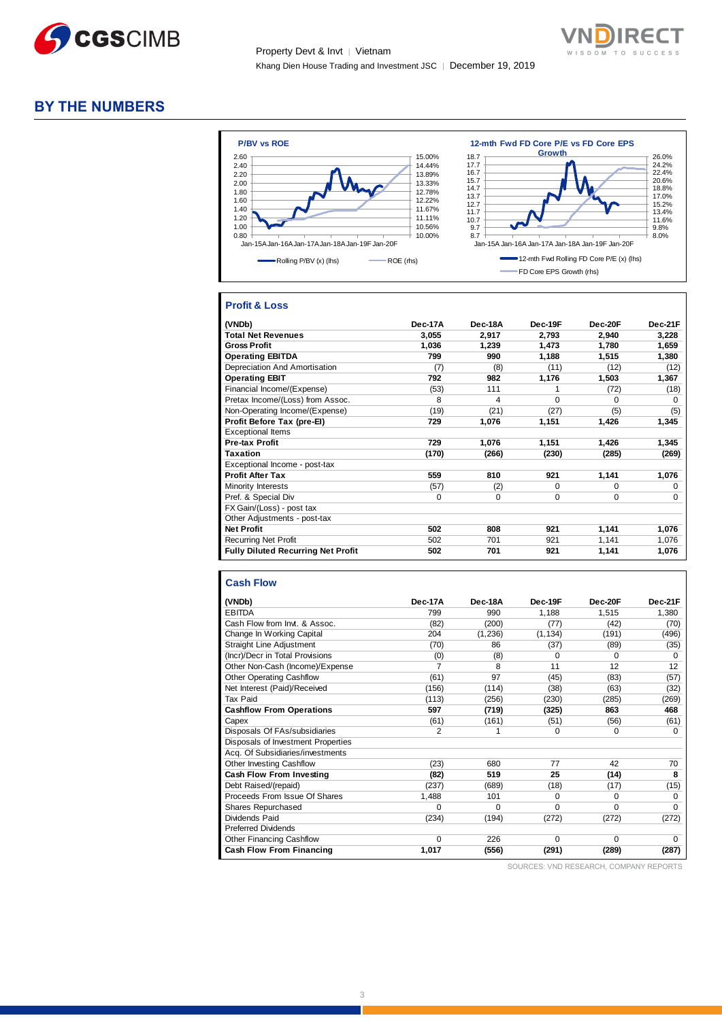



# **BY THE NUMBERS**



## **Profit & Loss**

| (VNDb)                                    | Dec-17A | Dec-18A | Dec-19F     | Dec-20F  | Dec-21F     |
|-------------------------------------------|---------|---------|-------------|----------|-------------|
| <b>Total Net Revenues</b>                 | 3,055   | 2,917   | 2,793       | 2,940    | 3,228       |
| <b>Gross Profit</b>                       | 1,036   | 1,239   | 1,473       | 1,780    | 1,659       |
| <b>Operating EBITDA</b>                   | 799     | 990     | 1,188       | 1,515    | 1,380       |
| Depreciation And Amortisation             | (7)     | (8)     | (11)        | (12)     | (12)        |
| <b>Operating EBIT</b>                     | 792     | 982     | 1,176       | 1,503    | 1,367       |
| Financial Income/(Expense)                | (53)    | 111     | 1           | (72)     | (18)        |
| Pretax Income/(Loss) from Assoc.          | 8       | 4       | $\Omega$    | $\Omega$ | $\Omega$    |
| Non-Operating Income/(Expense)            | (19)    | (21)    | (27)        | (5)      | (5)         |
| Profit Before Tax (pre-El)                | 729     | 1,076   | 1,151       | 1,426    | 1,345       |
| <b>Exceptional Items</b>                  |         |         |             |          |             |
| Pre-tax Profit                            | 729     | 1,076   | 1,151       | 1,426    | 1,345       |
| <b>Taxation</b>                           | (170)   | (266)   | (230)       | (285)    | (269)       |
| Exceptional Income - post-tax             |         |         |             |          |             |
| <b>Profit After Tax</b>                   | 559     | 810     | 921         | 1,141    | 1,076       |
| Minority Interests                        | (57)    | (2)     | $\Omega$    | $\Omega$ | 0           |
| Pref. & Special Div                       | 0       | 0       | $\mathbf 0$ | 0        | $\mathbf 0$ |
| FX Gain/(Loss) - post tax                 |         |         |             |          |             |
| Other Adjustments - post-tax              |         |         |             |          |             |
| <b>Net Profit</b>                         | 502     | 808     | 921         | 1,141    | 1,076       |
| <b>Recurring Net Profit</b>               | 502     | 701     | 921         | 1,141    | 1,076       |
| <b>Fully Diluted Recurring Net Profit</b> | 502     | 701     | 921         | 1,141    | 1,076       |

#### **Cash Flow**

| (VNDb)                             | Dec-17A        | Dec-18A  | Dec-19F  | Dec-20F  | Dec-21F  |
|------------------------------------|----------------|----------|----------|----------|----------|
| <b>EBITDA</b>                      | 799            | 990      | 1,188    | 1,515    | 1,380    |
| Cash Flow from Invt. & Assoc.      | (82)           | (200)    | (77)     | (42)     | (70)     |
| Change In Working Capital          | 204            | (1,236)  | (1, 134) | (191)    | (496)    |
| <b>Straight Line Adjustment</b>    | (70)           | 86       | (37)     | (89)     | (35)     |
| (Incr)/Decr in Total Provisions    | (0)            | (8)      | 0        | O        | 0        |
| Other Non-Cash (Income)/Expense    | 7              | 8        | 11       | 12       | 12       |
| <b>Other Operating Cashflow</b>    | (61)           | 97       | (45)     | (83)     | (57)     |
| Net Interest (Paid)/Received       | (156)          | (114)    | (38)     | (63)     | (32)     |
| Tax Paid                           | (113)          | (256)    | (230)    | (285)    | (269)    |
| <b>Cashflow From Operations</b>    | 597            | (719)    | (325)    | 863      | 468      |
| Capex                              | (61)           | (161)    | (51)     | (56)     | (61)     |
| Disposals Of FAs/subsidiaries      | $\overline{2}$ | 1        | 0        | $\Omega$ | $\Omega$ |
| Disposals of Investment Properties |                |          |          |          |          |
| Acq. Of Subsidiaries/investments   |                |          |          |          |          |
| Other Investing Cashflow           | (23)           | 680      | 77       | 42       | 70       |
| <b>Cash Flow From Investing</b>    | (82)           | 519      | 25       | (14)     | 8        |
| Debt Raised/(repaid)               | (237)          | (689)    | (18)     | (17)     | (15)     |
| Proceeds From Issue Of Shares      | 1,488          | 101      | 0        | $\Omega$ | 0        |
| Shares Repurchased                 | $\Omega$       | $\Omega$ | $\Omega$ | 0        | $\Omega$ |
| Dividends Paid                     | (234)          | (194)    | (272)    | (272)    | (272)    |
| <b>Preferred Dividends</b>         |                |          |          |          |          |
| <b>Other Financing Cashflow</b>    | $\Omega$       | 226      | $\Omega$ | $\Omega$ | $\Omega$ |
| <b>Cash Flow From Financing</b>    | 1,017          | (556)    | (291)    | (289)    | (287)    |

SOURCES: VND RESEARCH, COMPANY REPORTS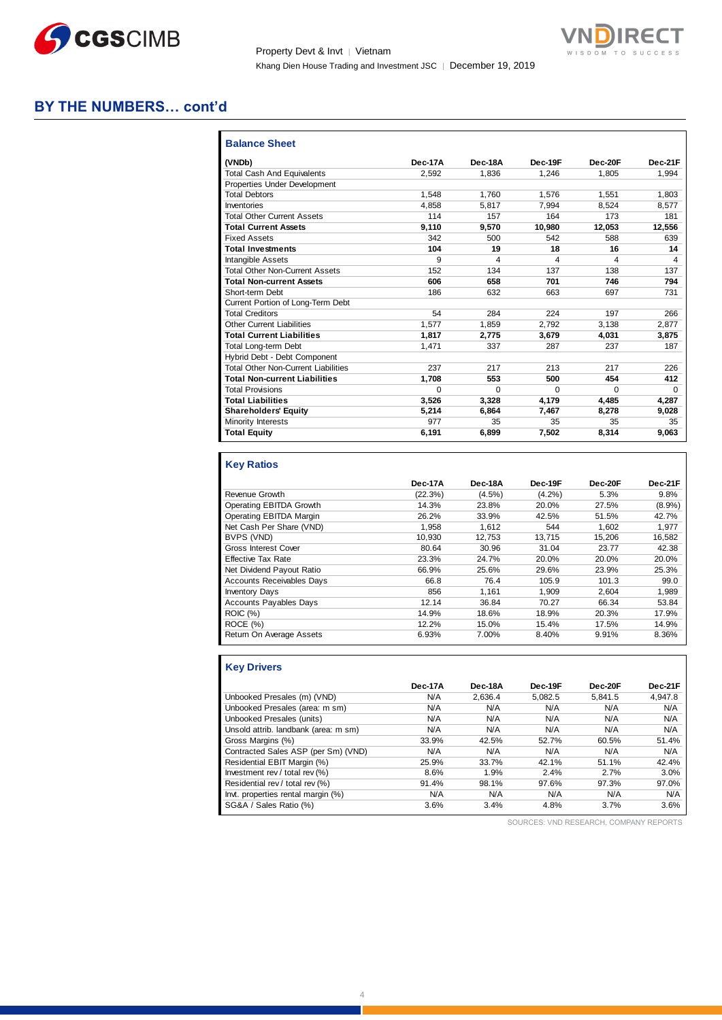

Property Devt & Invt | Vietnam Khang Dien House Trading and Investment JSC │ December 19, 2019



# **BY THE NUMBERS… cont'd**

| (VNDb)                                     | Dec-17A  | Dec-18A  | Dec-19F  | Dec-20F | Dec-21F  |
|--------------------------------------------|----------|----------|----------|---------|----------|
| <b>Total Cash And Equivalents</b>          | 2.592    | 1.836    | 1.246    | 1.805   | 1.994    |
| Properties Under Development               |          |          |          |         |          |
| <b>Total Debtors</b>                       | 1.548    | 1.760    | 1.576    | 1.551   | 1.803    |
| Inventories                                | 4.858    | 5.817    | 7,994    | 8.524   | 8.577    |
| <b>Total Other Current Assets</b>          | 114      | 157      | 164      | 173     | 181      |
| <b>Total Current Assets</b>                | 9,110    | 9,570    | 10,980   | 12,053  | 12,556   |
| <b>Fixed Assets</b>                        | 342      | 500      | 542      | 588     | 639      |
| <b>Total Investments</b>                   | 104      | 19       | 18       | 16      | 14       |
| Intangible Assets                          | 9        | 4        | 4        | 4       | 4        |
| <b>Total Other Non-Current Assets</b>      | 152      | 134      | 137      | 138     | 137      |
| <b>Total Non-current Assets</b>            | 606      | 658      | 701      | 746     | 794      |
| Short-term Debt                            | 186      | 632      | 663      | 697     | 731      |
| Current Portion of Long-Term Debt          |          |          |          |         |          |
| <b>Total Creditors</b>                     | 54       | 284      | 224      | 197     | 266      |
| <b>Other Current Liabilities</b>           | 1.577    | 1,859    | 2,792    | 3.138   | 2,877    |
| <b>Total Current Liabilities</b>           | 1.817    | 2.775    | 3.679    | 4.031   | 3.875    |
| Total Long-term Debt                       | 1.471    | 337      | 287      | 237     | 187      |
| Hybrid Debt - Debt Component               |          |          |          |         |          |
| <b>Total Other Non-Current Liabilities</b> | 237      | 217      | 213      | 217     | 226      |
| <b>Total Non-current Liabilities</b>       | 1,708    | 553      | 500      | 454     | 412      |
| <b>Total Provisions</b>                    | $\Omega$ | $\Omega$ | $\Omega$ | 0       | $\Omega$ |
| <b>Total Liabilities</b>                   | 3.526    | 3.328    | 4.179    | 4.485   | 4.287    |
| <b>Shareholders' Equity</b>                | 5.214    | 6.864    | 7,467    | 8.278   | 9,028    |
| Minority Interests                         | 977      | 35       | 35       | 35      | 35       |
| <b>Total Equity</b>                        | 6,191    | 6,899    | 7,502    | 8,314   | 9,063    |

# **Key Ratios**

|                                  | Dec-17A | Dec-18A   | Dec-19F   | Dec-20F | Dec-21F   |
|----------------------------------|---------|-----------|-----------|---------|-----------|
| Revenue Growth                   | (22.3%) | $(4.5\%)$ | $(4.2\%)$ | 5.3%    | 9.8%      |
| Operating EBITDA Growth          | 14.3%   | 23.8%     | 20.0%     | 27.5%   | $(8.9\%)$ |
| Operating EBITDA Margin          | 26.2%   | 33.9%     | 42.5%     | 51.5%   | 42.7%     |
| Net Cash Per Share (VND)         | 1.958   | 1.612     | 544       | 1.602   | 1.977     |
| BVPS (VND)                       | 10.930  | 12.753    | 13.715    | 15.206  | 16.582    |
| <b>Gross Interest Cover</b>      | 80.64   | 30.96     | 31.04     | 23.77   | 42.38     |
| <b>Effective Tax Rate</b>        | 23.3%   | 24.7%     | 20.0%     | 20.0%   | 20.0%     |
| Net Dividend Payout Ratio        | 66.9%   | 25.6%     | 29.6%     | 23.9%   | 25.3%     |
| <b>Accounts Receivables Days</b> | 66.8    | 76.4      | 105.9     | 101.3   | 99.0      |
| <b>Inventory Days</b>            | 856     | 1.161     | 1.909     | 2.604   | 1,989     |
| <b>Accounts Payables Days</b>    | 12.14   | 36.84     | 70.27     | 66.34   | 53.84     |
| <b>ROIC</b> (%)                  | 14.9%   | 18.6%     | 18.9%     | 20.3%   | 17.9%     |
| ROCE(%)                          | 12.2%   | 15.0%     | 15.4%     | 17.5%   | 14.9%     |
| Return On Average Assets         | 6.93%   | 7.00%     | 8.40%     | 9.91%   | 8.36%     |

# **Key Drivers**

|                                      | Dec-17A | Dec-18A | Dec-19F | Dec-20F | Dec-21F |
|--------------------------------------|---------|---------|---------|---------|---------|
| Unbooked Presales (m) (VND)          | N/A     | 2.636.4 | 5.082.5 | 5.841.5 | 4,947.8 |
| Unbooked Presales (area: m sm)       | N/A     | N/A     | N/A     | N/A     | N/A     |
| Unbooked Presales (units)            | N/A     | N/A     | N/A     | N/A     | N/A     |
| Unsold attrib. landbank (area: m sm) | N/A     | N/A     | N/A     | N/A     | N/A     |
| Gross Margins (%)                    | 33.9%   | 42.5%   | 52.7%   | 60.5%   | 51.4%   |
| Contracted Sales ASP (per Sm) (VND)  | N/A     | N/A     | N/A     | N/A     | N/A     |
| Residential EBIT Margin (%)          | 25.9%   | 33.7%   | 42.1%   | 51.1%   | 42.4%   |
| Investment rev / total rev (%)       | 8.6%    | 1.9%    | 2.4%    | 2.7%    | 3.0%    |
| Residential rev / total rev (%)      | 91.4%   | 98.1%   | 97.6%   | 97.3%   | 97.0%   |
| Invt. properties rental margin (%)   | N/A     | N/A     | N/A     | N/A     | N/A     |
| SG&A / Sales Ratio (%)               | 3.6%    | 3.4%    | 4.8%    | 3.7%    | 3.6%    |

SOURCES: VND RESEARCH, COMPANY REPORTS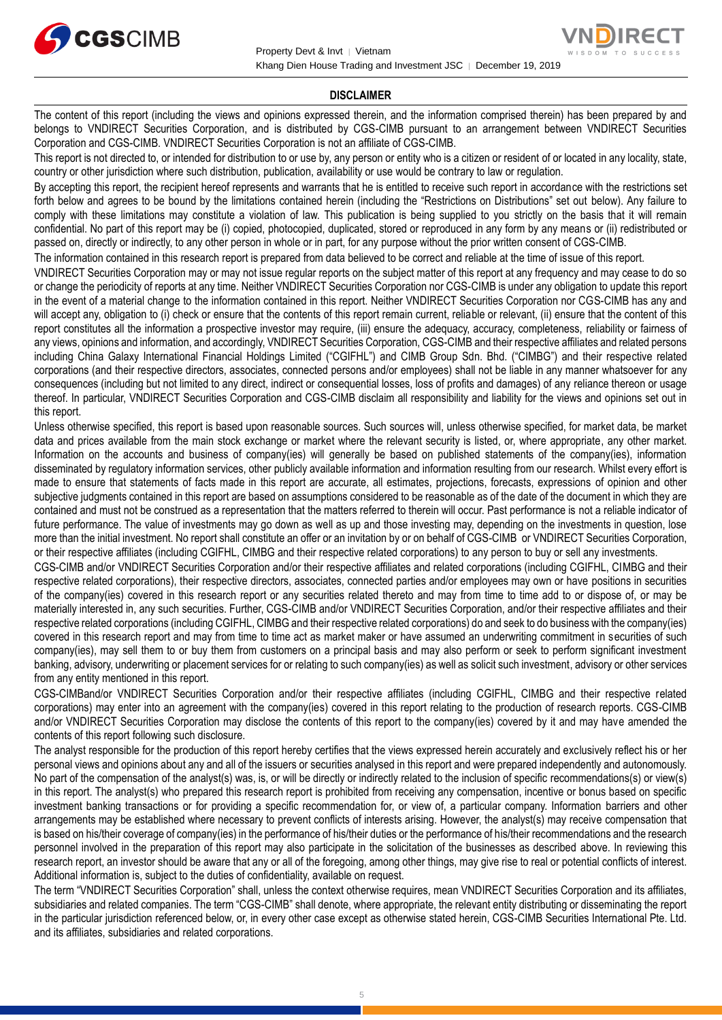

#### **DISCLAIMER**

The content of this report (including the views and opinions expressed therein, and the information comprised therein) has been prepared by and belongs to VNDIRECT Securities Corporation, and is distributed by CGS-CIMB pursuant to an arrangement between VNDIRECT Securities Corporation and CGS-CIMB. VNDIRECT Securities Corporation is not an affiliate of CGS-CIMB.

This report is not directed to, or intended for distribution to or use by, any person or entity who is a citizen or resident of or located in any locality, state, country or other jurisdiction where such distribution, publication, availability or use would be contrary to law or regulation.

By accepting this report, the recipient hereof represents and warrants that he is entitled to receive such report in accordance with the restrictions set forth below and agrees to be bound by the limitations contained herein (including the "Restrictions on Distributions" set out below). Any failure to comply with these limitations may constitute a violation of law. This publication is being supplied to you strictly on the basis that it will remain confidential. No part of this report may be (i) copied, photocopied, duplicated, stored or reproduced in any form by any means or (ii) redistributed or passed on, directly or indirectly, to any other person in whole or in part, for any purpose without the prior written consent of CGS-CIMB.

The information contained in this research report is prepared from data believed to be correct and reliable at the time of issue of this report.

VNDIRECT Securities Corporation may or may not issue regular reports on the subject matter of this report at any frequency and may cease to do so or change the periodicity of reports at any time. Neither VNDIRECT Securities Corporation nor CGS-CIMB is under any obligation to update this report in the event of a material change to the information contained in this report. Neither VNDIRECT Securities Corporation nor CGS-CIMB has any and will accept any, obligation to (i) check or ensure that the contents of this report remain current, reliable or relevant, (ii) ensure that the content of this report constitutes all the information a prospective investor may require, (iii) ensure the adequacy, accuracy, completeness, reliability or fairness of any views, opinions and information, and accordingly, VNDIRECT Securities Corporation, CGS-CIMB and their respective affiliates and related persons including China Galaxy International Financial Holdings Limited ("CGIFHL") and CIMB Group Sdn. Bhd. ("CIMBG") and their respective related corporations (and their respective directors, associates, connected persons and/or employees) shall not be liable in any manner whatsoever for any consequences (including but not limited to any direct, indirect or consequential losses, loss of profits and damages) of any reliance thereon or usage thereof. In particular, VNDIRECT Securities Corporation and CGS-CIMB disclaim all responsibility and liability for the views and opinions set out in this report.

Unless otherwise specified, this report is based upon reasonable sources. Such sources will, unless otherwise specified, for market data, be market data and prices available from the main stock exchange or market where the relevant security is listed, or, where appropriate, any other market. Information on the accounts and business of company(ies) will generally be based on published statements of the company(ies), information disseminated by regulatory information services, other publicly available information and information resulting from our research. Whilst every effort is made to ensure that statements of facts made in this report are accurate, all estimates, projections, forecasts, expressions of opinion and other subjective judgments contained in this report are based on assumptions considered to be reasonable as of the date of the document in which they are contained and must not be construed as a representation that the matters referred to therein will occur. Past performance is not a reliable indicator of future performance. The value of investments may go down as well as up and those investing may, depending on the investments in question, lose more than the initial investment. No report shall constitute an offer or an invitation by or on behalf of CGS-CIMB or VNDIRECT Securities Corporation, or their respective affiliates (including CGIFHL, CIMBG and their respective related corporations) to any person to buy or sell any investments.

CGS-CIMB and/or VNDIRECT Securities Corporation and/or their respective affiliates and related corporations (including CGIFHL, CIMBG and their respective related corporations), their respective directors, associates, connected parties and/or employees may own or have positions in securities of the company(ies) covered in this research report or any securities related thereto and may from time to time add to or dispose of, or may be materially interested in, any such securities. Further, CGS-CIMB and/or VNDIRECT Securities Corporation, and/or their respective affiliates and their respective related corporations (including CGIFHL, CIMBG and their respective related corporations) do and seek to do business with the company(ies) covered in this research report and may from time to time act as market maker or have assumed an underwriting commitment in securities of such company(ies), may sell them to or buy them from customers on a principal basis and may also perform or seek to perform significant investment banking, advisory, underwriting or placement services for or relating to such company(ies) as well as solicit such investment, advisory or other services from any entity mentioned in this report.

CGS-CIMBand/or VNDIRECT Securities Corporation and/or their respective affiliates (including CGIFHL, CIMBG and their respective related corporations) may enter into an agreement with the company(ies) covered in this report relating to the production of research reports. CGS-CIMB and/or VNDIRECT Securities Corporation may disclose the contents of this report to the company(ies) covered by it and may have amended the contents of this report following such disclosure.

The analyst responsible for the production of this report hereby certifies that the views expressed herein accurately and exclusively reflect his or her personal views and opinions about any and all of the issuers or securities analysed in this report and were prepared independently and autonomously. No part of the compensation of the analyst(s) was, is, or will be directly or indirectly related to the inclusion of specific recommendations(s) or view(s) in this report. The analyst(s) who prepared this research report is prohibited from receiving any compensation, incentive or bonus based on specific investment banking transactions or for providing a specific recommendation for, or view of, a particular company. Information barriers and other arrangements may be established where necessary to prevent conflicts of interests arising. However, the analyst(s) may receive compensation that is based on his/their coverage of company(ies) in the performance of his/their duties or the performance of his/their recommendations and the research personnel involved in the preparation of this report may also participate in the solicitation of the businesses as described above. In reviewing this research report, an investor should be aware that any or all of the foregoing, among other things, may give rise to real or potential conflicts of interest. Additional information is, subject to the duties of confidentiality, available on request.

The term "VNDIRECT Securities Corporation" shall, unless the context otherwise requires, mean VNDIRECT Securities Corporation and its affiliates, subsidiaries and related companies. The term "CGS-CIMB" shall denote, where appropriate, the relevant entity distributing or disseminating the report in the particular jurisdiction referenced below, or, in every other case except as otherwise stated herein, CGS-CIMB Securities International Pte. Ltd. and its affiliates, subsidiaries and related corporations.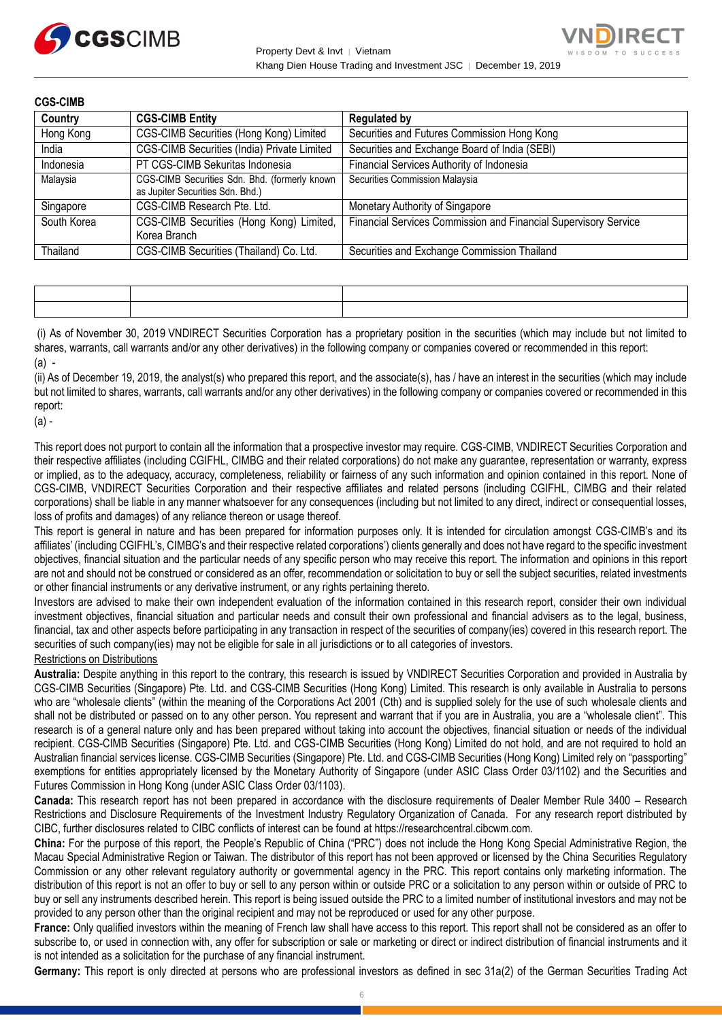



| <b>CGS-CIMB</b> |                                                                                   |                                                                 |
|-----------------|-----------------------------------------------------------------------------------|-----------------------------------------------------------------|
| Country         | <b>CGS-CIMB Entity</b>                                                            | <b>Regulated by</b>                                             |
| Hong Kong       | CGS-CIMB Securities (Hong Kong) Limited                                           | Securities and Futures Commission Hong Kong                     |
| India           | CGS-CIMB Securities (India) Private Limited                                       | Securities and Exchange Board of India (SEBI)                   |
| Indonesia       | PT CGS-CIMB Sekuritas Indonesia                                                   | Financial Services Authority of Indonesia                       |
| Malaysia        | CGS-CIMB Securities Sdn. Bhd. (formerly known<br>as Jupiter Securities Sdn. Bhd.) | Securities Commission Malaysia                                  |
| Singapore       | CGS-CIMB Research Pte. Ltd.                                                       | Monetary Authority of Singapore                                 |
| South Korea     | CGS-CIMB Securities (Hong Kong) Limited,<br>Korea Branch                          | Financial Services Commission and Financial Supervisory Service |
| Thailand        | CGS-CIMB Securities (Thailand) Co. Ltd.                                           | Securities and Exchange Commission Thailand                     |

(i) As of November 30, 2019 VNDIRECT Securities Corporation has a proprietary position in the securities (which may include but not limited to shares, warrants, call warrants and/or any other derivatives) in the following company or companies covered or recommended in this report:  $(a)$  -

(ii) As of December 19, 2019, the analyst(s) who prepared this report, and the associate(s), has / have an interest in the securities (which may include but not limited to shares, warrants, call warrants and/or any other derivatives) in the following company or companies covered or recommended in this report:

(a) -

This report does not purport to contain all the information that a prospective investor may require. CGS-CIMB, VNDIRECT Securities Corporation and their respective affiliates (including CGIFHL, CIMBG and their related corporations) do not make any guarantee, representation or warranty, express or implied, as to the adequacy, accuracy, completeness, reliability or fairness of any such information and opinion contained in this report. None of CGS-CIMB, VNDIRECT Securities Corporation and their respective affiliates and related persons (including CGIFHL, CIMBG and their related corporations) shall be liable in any manner whatsoever for any consequences (including but not limited to any direct, indirect or consequential losses, loss of profits and damages) of any reliance thereon or usage thereof.

This report is general in nature and has been prepared for information purposes only. It is intended for circulation amongst CGS-CIMB's and its affiliates' (including CGIFHL's, CIMBG's and their respective related corporations') clients generally and does not have regard to the specific investment objectives, financial situation and the particular needs of any specific person who may receive this report. The information and opinions in this report are not and should not be construed or considered as an offer, recommendation or solicitation to buy or sell the subject securities, related investments or other financial instruments or any derivative instrument, or any rights pertaining thereto.

Investors are advised to make their own independent evaluation of the information contained in this research report, consider their own individual investment objectives, financial situation and particular needs and consult their own professional and financial advisers as to the legal, business, financial, tax and other aspects before participating in any transaction in respect of the securities of company(ies) covered in this research report. The securities of such company(ies) may not be eligible for sale in all jurisdictions or to all categories of investors.

#### Restrictions on Distributions

**Australia:** Despite anything in this report to the contrary, this research is issued by VNDIRECT Securities Corporation and provided in Australia by CGS-CIMB Securities (Singapore) Pte. Ltd. and CGS-CIMB Securities (Hong Kong) Limited. This research is only available in Australia to persons who are "wholesale clients" (within the meaning of the Corporations Act 2001 (Cth) and is supplied solely for the use of such wholesale clients and shall not be distributed or passed on to any other person. You represent and warrant that if you are in Australia, you are a "wholesale client". This research is of a general nature only and has been prepared without taking into account the objectives, financial situation or needs of the individual recipient. CGS-CIMB Securities (Singapore) Pte. Ltd. and CGS-CIMB Securities (Hong Kong) Limited do not hold, and are not required to hold an Australian financial services license. CGS-CIMB Securities (Singapore) Pte. Ltd. and CGS-CIMB Securities (Hong Kong) Limited rely on "passporting" exemptions for entities appropriately licensed by the Monetary Authority of Singapore (under ASIC Class Order 03/1102) and the Securities and Futures Commission in Hong Kong (under ASIC Class Order 03/1103).

**Canada:** This research report has not been prepared in accordance with the disclosure requirements of Dealer Member Rule 3400 – Research Restrictions and Disclosure Requirements of the Investment Industry Regulatory Organization of Canada. For any research report distributed by CIBC, further disclosures related to CIBC conflicts of interest can be found at https://researchcentral.cibcwm.com.

**China:** For the purpose of this report, the People's Republic of China ("PRC") does not include the Hong Kong Special Administrative Region, the Macau Special Administrative Region or Taiwan. The distributor of this report has not been approved or licensed by the China Securities Regulatory Commission or any other relevant regulatory authority or governmental agency in the PRC. This report contains only marketing information. The distribution of this report is not an offer to buy or sell to any person within or outside PRC or a solicitation to any person within or outside of PRC to buy or sell any instruments described herein. This report is being issued outside the PRC to a limited number of institutional investors and may not be provided to any person other than the original recipient and may not be reproduced or used for any other purpose.

**France:** Only qualified investors within the meaning of French law shall have access to this report. This report shall not be considered as an offer to subscribe to, or used in connection with, any offer for subscription or sale or marketing or direct or indirect distribution of financial instruments and it is not intended as a solicitation for the purchase of any financial instrument.

**Germany:** This report is only directed at persons who are professional investors as defined in sec 31a(2) of the German Securities Trading Act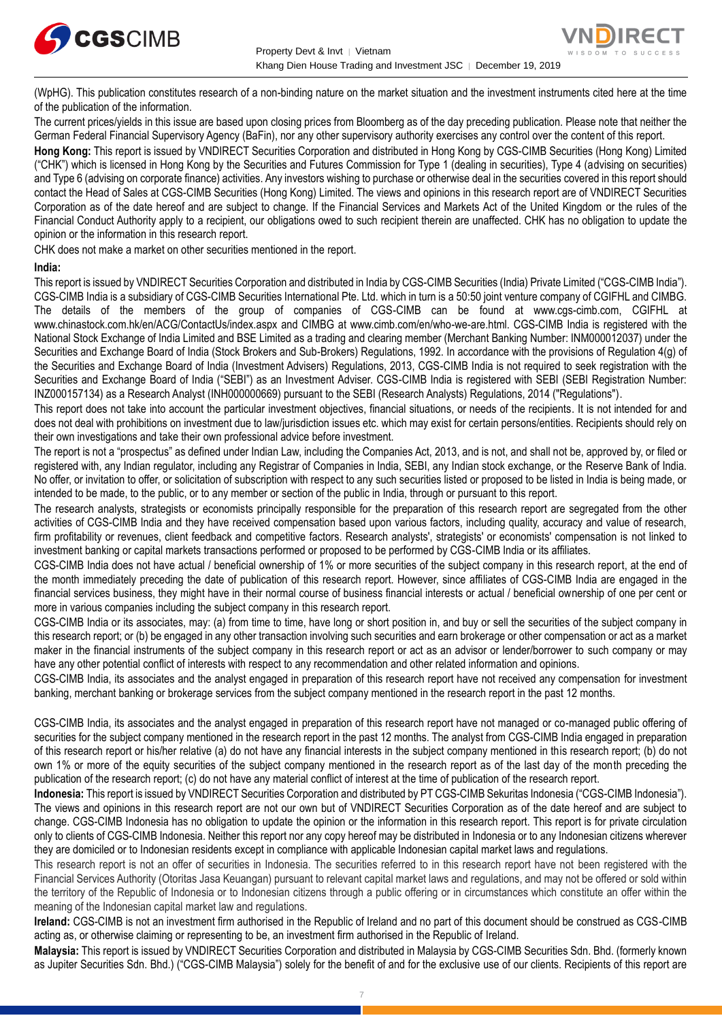



of the publication of the information. The current prices/yields in this issue are based upon closing prices from Bloomberg as of the day preceding publication. Please note that neither the German Federal Financial Supervisory Agency (BaFin), nor any other supervisory authority exercises any control over the content of this report.

**Hong Kong:** This report is issued by VNDIRECT Securities Corporation and distributed in Hong Kong by CGS-CIMB Securities (Hong Kong) Limited ("CHK") which is licensed in Hong Kong by the Securities and Futures Commission for Type 1 (dealing in securities), Type 4 (advising on securities) and Type 6 (advising on corporate finance) activities. Any investors wishing to purchase or otherwise deal in the securities covered in this report should contact the Head of Sales at CGS-CIMB Securities (Hong Kong) Limited. The views and opinions in this research report are of VNDIRECT Securities Corporation as of the date hereof and are subject to change. If the Financial Services and Markets Act of the United Kingdom or the rules of the Financial Conduct Authority apply to a recipient, our obligations owed to such recipient therein are unaffected. CHK has no obligation to update the opinion or the information in this research report.

CHK does not make a market on other securities mentioned in the report.

#### **India:**

This report is issued by VNDIRECT Securities Corporation and distributed in India by CGS-CIMB Securities (India) Private Limited ("CGS-CIMB India"). CGS-CIMB India is a subsidiary of CGS-CIMB Securities International Pte. Ltd. which in turn is a 50:50 joint venture company of CGIFHL and CIMBG. The details of the members of the group of companies of CGS-CIMB can be found at www.cgs-cimb.com, CGIFHL at www.chinastock.com.hk/en/ACG/ContactUs/index.aspx and CIMBG at www.cimb.com/en/who-we-are.html. CGS-CIMB India is registered with the National Stock Exchange of India Limited and BSE Limited as a trading and clearing member (Merchant Banking Number: INM000012037) under the Securities and Exchange Board of India (Stock Brokers and Sub-Brokers) Regulations, 1992. In accordance with the provisions of Regulation 4(g) of the Securities and Exchange Board of India (Investment Advisers) Regulations, 2013, CGS-CIMB India is not required to seek registration with the Securities and Exchange Board of India ("SEBI") as an Investment Adviser. CGS-CIMB India is registered with SEBI (SEBI Registration Number: INZ000157134) as a Research Analyst (INH000000669) pursuant to the SEBI (Research Analysts) Regulations, 2014 ("Regulations").

This report does not take into account the particular investment objectives, financial situations, or needs of the recipients. It is not intended for and does not deal with prohibitions on investment due to law/jurisdiction issues etc. which may exist for certain persons/entities. Recipients should rely on their own investigations and take their own professional advice before investment.

The report is not a "prospectus" as defined under Indian Law, including the Companies Act, 2013, and is not, and shall not be, approved by, or filed or registered with, any Indian regulator, including any Registrar of Companies in India, SEBI, any Indian stock exchange, or the Reserve Bank of India. No offer, or invitation to offer, or solicitation of subscription with respect to any such securities listed or proposed to be listed in India is being made, or intended to be made, to the public, or to any member or section of the public in India, through or pursuant to this report.

The research analysts, strategists or economists principally responsible for the preparation of this research report are segregated from the other activities of CGS-CIMB India and they have received compensation based upon various factors, including quality, accuracy and value of research, firm profitability or revenues, client feedback and competitive factors. Research analysts', strategists' or economists' compensation is not linked to investment banking or capital markets transactions performed or proposed to be performed by CGS-CIMB India or its affiliates.

CGS-CIMB India does not have actual / beneficial ownership of 1% or more securities of the subject company in this research report, at the end of the month immediately preceding the date of publication of this research report. However, since affiliates of CGS-CIMB India are engaged in the financial services business, they might have in their normal course of business financial interests or actual / beneficial ownership of one per cent or more in various companies including the subject company in this research report.

CGS-CIMB India or its associates, may: (a) from time to time, have long or short position in, and buy or sell the securities of the subject company in this research report; or (b) be engaged in any other transaction involving such securities and earn brokerage or other compensation or act as a market maker in the financial instruments of the subject company in this research report or act as an advisor or lender/borrower to such company or may have any other potential conflict of interests with respect to any recommendation and other related information and opinions.

CGS-CIMB India, its associates and the analyst engaged in preparation of this research report have not received any compensation for investment banking, merchant banking or brokerage services from the subject company mentioned in the research report in the past 12 months.

CGS-CIMB India, its associates and the analyst engaged in preparation of this research report have not managed or co-managed public offering of securities for the subject company mentioned in the research report in the past 12 months. The analyst from CGS-CIMB India engaged in preparation of this research report or his/her relative (a) do not have any financial interests in the subject company mentioned in this research report; (b) do not own 1% or more of the equity securities of the subject company mentioned in the research report as of the last day of the month preceding the publication of the research report; (c) do not have any material conflict of interest at the time of publication of the research report.

**Indonesia:** This report is issued by VNDIRECT Securities Corporation and distributed by PT CGS-CIMB Sekuritas Indonesia ("CGS-CIMB Indonesia"). The views and opinions in this research report are not our own but of VNDIRECT Securities Corporation as of the date hereof and are subject to change. CGS-CIMB Indonesia has no obligation to update the opinion or the information in this research report. This report is for private circulation only to clients of CGS-CIMB Indonesia. Neither this report nor any copy hereof may be distributed in Indonesia or to any Indonesian citizens wherever they are domiciled or to Indonesian residents except in compliance with applicable Indonesian capital market laws and regulations.

This research report is not an offer of securities in Indonesia. The securities referred to in this research report have not been registered with the Financial Services Authority (Otoritas Jasa Keuangan) pursuant to relevant capital market laws and regulations, and may not be offered or sold within the territory of the Republic of Indonesia or to Indonesian citizens through a public offering or in circumstances which constitute an offer within the meaning of the Indonesian capital market law and regulations.

**Ireland:** CGS-CIMB is not an investment firm authorised in the Republic of Ireland and no part of this document should be construed as CGS-CIMB acting as, or otherwise claiming or representing to be, an investment firm authorised in the Republic of Ireland.

**Malaysia:** This report is issued by VNDIRECT Securities Corporation and distributed in Malaysia by CGS-CIMB Securities Sdn. Bhd. (formerly known as Jupiter Securities Sdn. Bhd.) ("CGS-CIMB Malaysia") solely for the benefit of and for the exclusive use of our clients. Recipients of this report are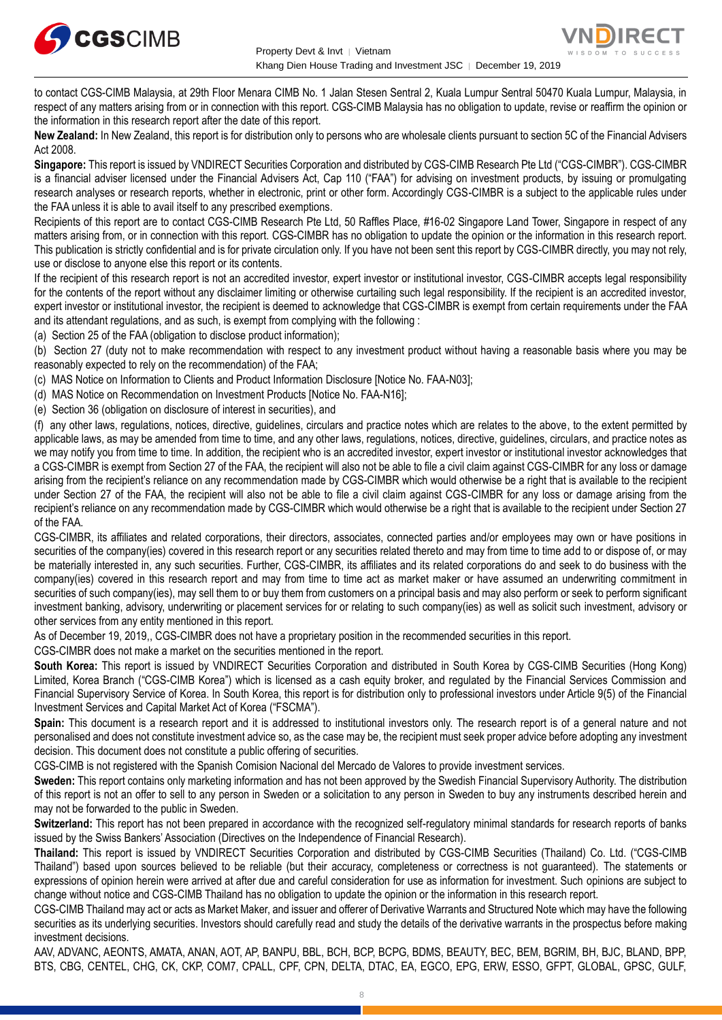



to contact CGS-CIMB Malaysia, at 29th Floor Menara CIMB No. 1 Jalan Stesen Sentral 2, Kuala Lumpur Sentral 50470 Kuala Lumpur, Malaysia, in respect of any matters arising from or in connection with this report. CGS-CIMB Malaysia has no obligation to update, revise or reaffirm the opinion or the information in this research report after the date of this report.

**New Zealand:** In New Zealand, this report is for distribution only to persons who are wholesale clients pursuant to section 5C of the Financial Advisers Act 2008.

**Singapore:** This report is issued by VNDIRECT Securities Corporation and distributed by CGS-CIMB Research Pte Ltd ("CGS-CIMBR"). CGS-CIMBR is a financial adviser licensed under the Financial Advisers Act, Cap 110 ("FAA") for advising on investment products, by issuing or promulgating research analyses or research reports, whether in electronic, print or other form. Accordingly CGS-CIMBR is a subject to the applicable rules under the FAA unless it is able to avail itself to any prescribed exemptions.

Recipients of this report are to contact CGS-CIMB Research Pte Ltd, 50 Raffles Place, #16-02 Singapore Land Tower, Singapore in respect of any matters arising from, or in connection with this report. CGS-CIMBR has no obligation to update the opinion or the information in this research report. This publication is strictly confidential and is for private circulation only. If you have not been sent this report by CGS-CIMBR directly, you may not rely, use or disclose to anyone else this report or its contents.

If the recipient of this research report is not an accredited investor, expert investor or institutional investor, CGS-CIMBR accepts legal responsibility for the contents of the report without any disclaimer limiting or otherwise curtailing such legal responsibility. If the recipient is an accredited investor, expert investor or institutional investor, the recipient is deemed to acknowledge that CGS-CIMBR is exempt from certain requirements under the FAA and its attendant regulations, and as such, is exempt from complying with the following :

(a) Section 25 of the FAA (obligation to disclose product information);

(b) Section 27 (duty not to make recommendation with respect to any investment product without having a reasonable basis where you may be reasonably expected to rely on the recommendation) of the FAA;

(c) MAS Notice on Information to Clients and Product Information Disclosure [Notice No. FAA-N03];

(d) MAS Notice on Recommendation on Investment Products [Notice No. FAA-N16];

(e) Section 36 (obligation on disclosure of interest in securities), and

(f) any other laws, regulations, notices, directive, guidelines, circulars and practice notes which are relates to the above, to the extent permitted by applicable laws, as may be amended from time to time, and any other laws, regulations, notices, directive, guidelines, circulars, and practice notes as we may notify you from time to time. In addition, the recipient who is an accredited investor, expert investor or institutional investor acknowledges that a CGS-CIMBR is exempt from Section 27 of the FAA, the recipient will also not be able to file a civil claim against CGS-CIMBR for any loss or damage arising from the recipient's reliance on any recommendation made by CGS-CIMBR which would otherwise be a right that is available to the recipient under Section 27 of the FAA, the recipient will also not be able to file a civil claim against CGS-CIMBR for any loss or damage arising from the recipient's reliance on any recommendation made by CGS-CIMBR which would otherwise be a right that is available to the recipient under Section 27 of the FAA.

CGS-CIMBR, its affiliates and related corporations, their directors, associates, connected parties and/or employees may own or have positions in securities of the company(ies) covered in this research report or any securities related thereto and may from time to time add to or dispose of, or may be materially interested in, any such securities. Further, CGS-CIMBR, its affiliates and its related corporations do and seek to do business with the company(ies) covered in this research report and may from time to time act as market maker or have assumed an underwriting commitment in securities of such company(ies), may sell them to or buy them from customers on a principal basis and may also perform or seek to perform significant investment banking, advisory, underwriting or placement services for or relating to such company(ies) as well as solicit such investment, advisory or other services from any entity mentioned in this report.

As of December 19, 2019,, CGS-CIMBR does not have a proprietary position in the recommended securities in this report.

CGS-CIMBR does not make a market on the securities mentioned in the report.

**South Korea:** This report is issued by VNDIRECT Securities Corporation and distributed in South Korea by CGS-CIMB Securities (Hong Kong) Limited, Korea Branch ("CGS-CIMB Korea") which is licensed as a cash equity broker, and regulated by the Financial Services Commission and Financial Supervisory Service of Korea. In South Korea, this report is for distribution only to professional investors under Article 9(5) of the Financial Investment Services and Capital Market Act of Korea ("FSCMA").

**Spain:** This document is a research report and it is addressed to institutional investors only. The research report is of a general nature and not personalised and does not constitute investment advice so, as the case may be, the recipient must seek proper advice before adopting any investment decision. This document does not constitute a public offering of securities.

CGS-CIMB is not registered with the Spanish Comision Nacional del Mercado de Valores to provide investment services.

**Sweden:** This report contains only marketing information and has not been approved by the Swedish Financial Supervisory Authority. The distribution of this report is not an offer to sell to any person in Sweden or a solicitation to any person in Sweden to buy any instruments described herein and may not be forwarded to the public in Sweden.

**Switzerland:** This report has not been prepared in accordance with the recognized self-regulatory minimal standards for research reports of banks issued by the Swiss Bankers' Association (Directives on the Independence of Financial Research).

**Thailand:** This report is issued by VNDIRECT Securities Corporation and distributed by CGS-CIMB Securities (Thailand) Co. Ltd. ("CGS-CIMB Thailand") based upon sources believed to be reliable (but their accuracy, completeness or correctness is not guaranteed). The statements or expressions of opinion herein were arrived at after due and careful consideration for use as information for investment. Such opinions are subject to change without notice and CGS-CIMB Thailand has no obligation to update the opinion or the information in this research report.

CGS-CIMB Thailand may act or acts as Market Maker, and issuer and offerer of Derivative Warrants and Structured Note which may have the following securities as its underlying securities. Investors should carefully read and study the details of the derivative warrants in the prospectus before making investment decisions.

AAV, ADVANC, AEONTS, AMATA, ANAN, AOT, AP, BANPU, BBL, BCH, BCP, BCPG, BDMS, BEAUTY, BEC, BEM, BGRIM, BH, BJC, BLAND, BPP, BTS, CBG, CENTEL, CHG, CK, CKP, COM7, CPALL, CPF, CPN, DELTA, DTAC, EA, EGCO, EPG, ERW, ESSO, GFPT, GLOBAL, GPSC, GULF,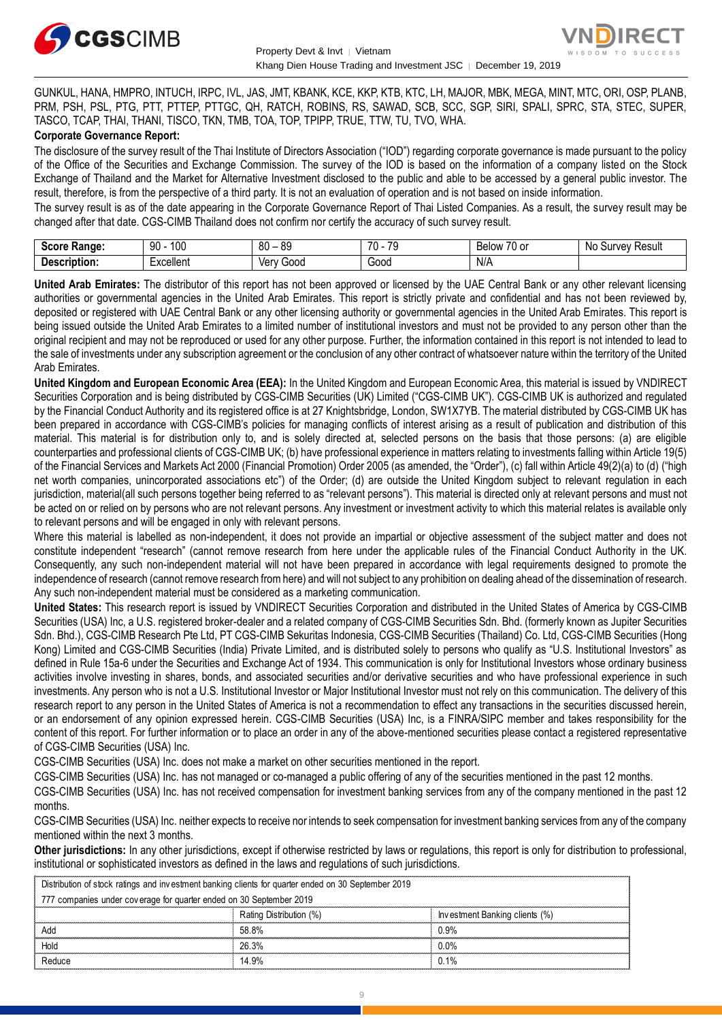



GUNKUL, HANA, HMPRO, INTUCH, IRPC, IVL, JAS, JMT, KBANK, KCE, KKP, KTB, KTC, LH, MAJOR, MBK, MEGA, MINT, MTC, ORI, OSP, PLANB, PRM, PSH, PSL, PTG, PTT, PTTEP, PTTGC, QH, RATCH, ROBINS, RS, SAWAD, SCB, SCC, SGP, SIRI, SPALI, SPRC, STA, STEC, SUPER, TASCO, TCAP, THAI, THANI, TISCO, TKN, TMB, TOA, TOP, TPIPP, TRUE, TTW, TU, TVO, WHA.

#### **Corporate Governance Report:**

The disclosure of the survey result of the Thai Institute of Directors Association ("IOD") regarding corporate governance is made pursuant to the policy of the Office of the Securities and Exchange Commission. The survey of the IOD is based on the information of a company listed on the Stock Exchange of Thailand and the Market for Alternative Investment disclosed to the public and able to be accessed by a general public investor. The result, therefore, is from the perspective of a third party. It is not an evaluation of operation and is not based on inside information.

The survey result is as of the date appearing in the Corporate Governance Report of Thai Listed Companies. As a result, the survey result may be changed after that date. CGS-CIMB Thailand does not confirm nor certify the accuracy of such survey result.

| Score<br><b>Range:</b> | 100<br>90 | 80<br>$\circ$<br>^<br>ت∪ | $\overline{\phantom{a}}$<br>70<br>u | $\sim$ $\sim$<br>Below<br>_0 or | : Result<br>Νo<br>Survey |
|------------------------|-----------|--------------------------|-------------------------------------|---------------------------------|--------------------------|
| Description:           | ∶xcellent | 000خ<br>_Verv .          | -<br>000ن                           | N/A                             |                          |

**United Arab Emirates:** The distributor of this report has not been approved or licensed by the UAE Central Bank or any other relevant licensing authorities or governmental agencies in the United Arab Emirates. This report is strictly private and confidential and has not been reviewed by, deposited or registered with UAE Central Bank or any other licensing authority or governmental agencies in the United Arab Emirates. This report is being issued outside the United Arab Emirates to a limited number of institutional investors and must not be provided to any person other than the original recipient and may not be reproduced or used for any other purpose. Further, the information contained in this report is not intended to lead to the sale of investments under any subscription agreement or the conclusion of any other contract of whatsoever nature within the territory of the United Arab Emirates.

**United Kingdom and European Economic Area (EEA):** In the United Kingdom and European Economic Area, this material is issued by VNDIRECT Securities Corporation and is being distributed by CGS-CIMB Securities (UK) Limited ("CGS-CIMB UK"). CGS-CIMB UK is authorized and regulated by the Financial Conduct Authority and its registered office is at 27 Knightsbridge, London, SW1X7YB. The material distributed by CGS-CIMB UK has been prepared in accordance with CGS-CIMB's policies for managing conflicts of interest arising as a result of publication and distribution of this material. This material is for distribution only to, and is solely directed at, selected persons on the basis that those persons: (a) are eligible counterparties and professional clients of CGS-CIMB UK; (b) have professional experience in matters relating to investments falling within Article 19(5) of the Financial Services and Markets Act 2000 (Financial Promotion) Order 2005 (as amended, the "Order"), (c) fall within Article 49(2)(a) to (d) ("high net worth companies, unincorporated associations etc") of the Order; (d) are outside the United Kingdom subject to relevant regulation in each jurisdiction, material(all such persons together being referred to as "relevant persons"). This material is directed only at relevant persons and must not be acted on or relied on by persons who are not relevant persons. Any investment or investment activity to which this material relates is available only to relevant persons and will be engaged in only with relevant persons.

Where this material is labelled as non-independent, it does not provide an impartial or objective assessment of the subject matter and does not constitute independent "research" (cannot remove research from here under the applicable rules of the Financial Conduct Authority in the UK. Consequently, any such non-independent material will not have been prepared in accordance with legal requirements designed to promote the independence of research (cannot remove research from here) and will not subject to any prohibition on dealing ahead of the dissemination of research. Any such non-independent material must be considered as a marketing communication.

**United States:** This research report is issued by VNDIRECT Securities Corporation and distributed in the United States of America by CGS-CIMB Securities (USA) Inc, a U.S. registered broker-dealer and a related company of CGS-CIMB Securities Sdn. Bhd. (formerly known as Jupiter Securities Sdn. Bhd.), CGS-CIMB Research Pte Ltd, PT CGS-CIMB Sekuritas Indonesia, CGS-CIMB Securities (Thailand) Co. Ltd, CGS-CIMB Securities (Hong Kong) Limited and CGS-CIMB Securities (India) Private Limited, and is distributed solely to persons who qualify as "U.S. Institutional Investors" as defined in Rule 15a-6 under the Securities and Exchange Act of 1934. This communication is only for Institutional Investors whose ordinary business activities involve investing in shares, bonds, and associated securities and/or derivative securities and who have professional experience in such investments. Any person who is not a U.S. Institutional Investor or Major Institutional Investor must not rely on this communication. The delivery of this research report to any person in the United States of America is not a recommendation to effect any transactions in the securities discussed herein, or an endorsement of any opinion expressed herein. CGS-CIMB Securities (USA) Inc, is a FINRA/SIPC member and takes responsibility for the content of this report. For further information or to place an order in any of the above-mentioned securities please contact a registered representative of CGS-CIMB Securities (USA) Inc.

CGS-CIMB Securities (USA) Inc. does not make a market on other securities mentioned in the report.

CGS-CIMB Securities (USA) Inc. has not managed or co-managed a public offering of any of the securities mentioned in the past 12 months.

CGS-CIMB Securities (USA) Inc. has not received compensation for investment banking services from any of the company mentioned in the past 12 months.

CGS-CIMB Securities (USA) Inc. neither expects to receive nor intends to seek compensation for investment banking services from any of the company mentioned within the next 3 months.

**Other jurisdictions:** In any other jurisdictions, except if otherwise restricted by laws or regulations, this report is only for distribution to professional, institutional or sophisticated investors as defined in the laws and regulations of such jurisdictions. entioned within the next 3 months.<br> **ther jurisdictions:** In any other jurisdictions, except if otherwise restricted by laws antitutional or sophisticated investors as defined in the laws and regulations of such ju<br>
Distri

| Other jurisdictions: In any other jurisdictions, except if otherwise restricted by laws or regulations, this report is only for distribution to<br>institutional or sophisticated investors as defined in the laws and regulations of such jurisdictions. |                         |                                |  |
|-----------------------------------------------------------------------------------------------------------------------------------------------------------------------------------------------------------------------------------------------------------|-------------------------|--------------------------------|--|
| Distribution of stock ratings and investment banking clients for quarter ended on 30 September 2019                                                                                                                                                       |                         |                                |  |
| 777 companies under coverage for quarter ended on 30 September 2019                                                                                                                                                                                       |                         |                                |  |
|                                                                                                                                                                                                                                                           | Rating Distribution (%) | Investment Banking clients (%) |  |
| Add                                                                                                                                                                                                                                                       | 58.8%                   | 0.9%                           |  |
| Hold                                                                                                                                                                                                                                                      | 26.3%                   | $0.0\%$                        |  |
| Reduce                                                                                                                                                                                                                                                    | 14.9%                   | 0.1%                           |  |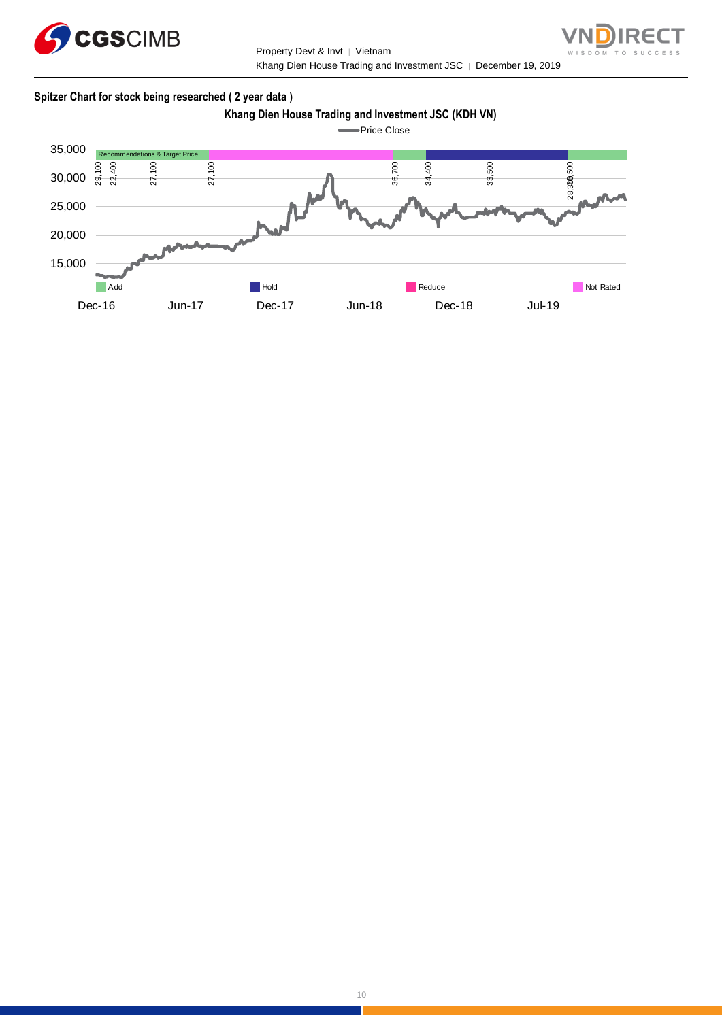

Property Devt & Invt │ Vietnam Khang Dien House Trading and Investment JSC | December 19, 2019



## **Spitzer Chart for stock being researched ( 2 year data )**

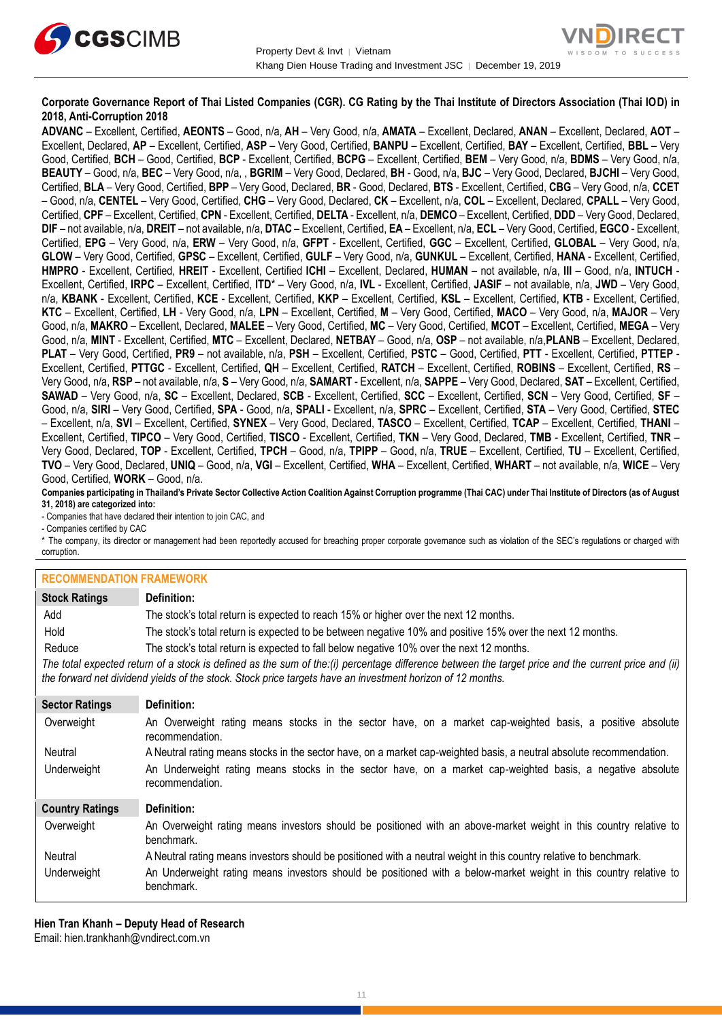



## **Corporate Governance Report of Thai Listed Companies (CGR). CG Rating by the Thai Institute of Directors Association (Thai IOD) in 2018, Anti-Corruption 2018**

**ADVANC** – Excellent, Certified, **AEONTS** – Good, n/a, **AH** – Very Good, n/a, **AMATA** – Excellent, Declared, **ANAN** – Excellent, Declared, **AOT** – Excellent, Declared, **AP** – Excellent, Certified, **ASP** – Very Good, Certified, **BANPU** – Excellent, Certified, **BAY** – Excellent, Certified, **BBL** – Very Good, Certified, **BCH** – Good, Certified, **BCP** - Excellent, Certified, **BCPG** – Excellent, Certified, **BEM** – Very Good, n/a, **BDMS** – Very Good, n/a, **BEAUTY** – Good, n/a, **BEC** – Very Good, n/a, , **BGRIM** – Very Good, Declared, **BH** - Good, n/a, **BJC** – Very Good, Declared, **BJCHI** – Very Good, Certified, **BLA** – Very Good, Certified, **BPP** – Very Good, Declared, **BR** - Good, Declared, **BTS** - Excellent, Certified, **CBG** – Very Good, n/a, **CCET** – Good, n/a, **CENTEL** – Very Good, Certified, **CHG** – Very Good, Declared, **CK** – Excellent, n/a, **COL** – Excellent, Declared, **CPALL** – Very Good, Certified, **CPF** – Excellent, Certified, **CPN** - Excellent, Certified, **DELTA** - Excellent, n/a, **DEMCO** – Excellent, Certified, **DDD** – Very Good, Declared, **DIF** – not available, n/a, **DREIT** – not available, n/a, **DTAC** – Excellent, Certified, **EA** – Excellent, n/a, **ECL** – Very Good, Certified, **EGCO** - Excellent, Certified, **EPG** – Very Good, n/a, **ERW** – Very Good, n/a, **GFPT** - Excellent, Certified, **GGC** – Excellent, Certified, **GLOBAL** – Very Good, n/a, **GLOW** – Very Good, Certified, **GPSC** – Excellent, Certified, **GULF** – Very Good, n/a, **GUNKUL** – Excellent, Certified, **HANA** - Excellent, Certified, **HMPRO** - Excellent, Certified, **HREIT** - Excellent, Certified **ICHI** – Excellent, Declared, **HUMAN** – not available, n/a, **III** – Good, n/a, **INTUCH** - Excellent, Certified, **IRPC** – Excellent, Certified, **ITD**\* – Very Good, n/a, **IVL** - Excellent, Certified, **JASIF** – not available, n/a, **JWD** – Very Good, n/a, **KBANK** - Excellent, Certified, **KCE** - Excellent, Certified, **KKP** – Excellent, Certified, **KSL** – Excellent, Certified, **KTB** - Excellent, Certified, **KTC** – Excellent, Certified, **LH** - Very Good, n/a, **LPN** – Excellent, Certified, **M** – Very Good, Certified, **MACO** – Very Good, n/a, **MAJOR** – Very Good, n/a, **MAKRO** – Excellent, Declared, **MALEE** – Very Good, Certified, **MC** – Very Good, Certified, **MCOT** – Excellent, Certified, **MEGA** – Very Good, n/a, **MINT** - Excellent, Certified, **MTC** – Excellent, Declared, **NETBAY** – Good, n/a, **OSP** – not available, n/a,**PLANB** – Excellent, Declared, **PLAT** – Very Good, Certified, **PR9** – not available, n/a, **PSH** – Excellent, Certified, **PSTC** – Good, Certified, **PTT** - Excellent, Certified, **PTTEP** - Excellent, Certified, **PTTGC** - Excellent, Certified, **QH** – Excellent, Certified, **RATCH** – Excellent, Certified, **ROBINS** – Excellent, Certified, **RS** – Very Good, n/a, **RSP** – not available, n/a, **S** – Very Good, n/a, **SAMART** - Excellent, n/a, **SAPPE** – Very Good, Declared, **SAT** – Excellent, Certified, **SAWAD** – Very Good, n/a, **SC** – Excellent, Declared, **SCB** - Excellent, Certified, **SCC** – Excellent, Certified, **SCN** – Very Good, Certified, **SF** – Good, n/a, **SIRI** – Very Good, Certified, **SPA** - Good, n/a, **SPALI** - Excellent, n/a, **SPRC** – Excellent, Certified, **STA** – Very Good, Certified, **STEC** – Excellent, n/a, **SVI** – Excellent, Certified, **SYNEX** – Very Good, Declared, **TASCO** – Excellent, Certified, **TCAP** – Excellent, Certified, **THANI** – Excellent, Certified, **TIPCO** – Very Good, Certified, **TISCO** - Excellent, Certified, **TKN** – Very Good, Declared, **TMB** - Excellent, Certified, **TNR** – Very Good, Declared, **TOP** - Excellent, Certified, **TPCH** – Good, n/a, **TPIPP** – Good, n/a, **TRUE** – Excellent, Certified, **TU** – Excellent, Certified, **TVO** – Very Good, Declared, **UNIQ** – Good, n/a, **VGI** – Excellent, Certified, **WHA** – Excellent, Certified, **WHART** – not available, n/a, **WICE** – Very Good, Certified, **WORK** – Good, n/a.

**Companies participating in Thailand's Private Sector Collective Action Coalition Against Corruption programme (Thai CAC) under Thai Institute of Directors (as of August 31, 2018) are categorized into:**

- Companies that have declared their intention to join CAC, and

- Companies certified by CAC

\* The company, its director or management had been reportedly accused for breaching proper corporate governance such as violation of the SEC's regulations or charged with corruption.

#### **RECOMMENDATION FRAMEWORK**

| INLUUININLINDAITUN LIVAINLINUINN |                                                                                                                                                                                                                                                                   |  |
|----------------------------------|-------------------------------------------------------------------------------------------------------------------------------------------------------------------------------------------------------------------------------------------------------------------|--|
| <b>Stock Ratings</b>             | Definition:                                                                                                                                                                                                                                                       |  |
| Add                              | The stock's total return is expected to reach 15% or higher over the next 12 months.                                                                                                                                                                              |  |
| Hold                             | The stock's total return is expected to be between negative 10% and positive 15% over the next 12 months.                                                                                                                                                         |  |
| Reduce                           | The stock's total return is expected to fall below negative 10% over the next 12 months.                                                                                                                                                                          |  |
|                                  | The total expected return of a stock is defined as the sum of the:(i) percentage difference between the target price and the current price and (ii)<br>the forward net dividend yields of the stock. Stock price targets have an investment horizon of 12 months. |  |
| <b>Sector Ratings</b>            | Definition:                                                                                                                                                                                                                                                       |  |
| Overweight                       | An Overweight rating means stocks in the sector have, on a market cap-weighted basis, a positive absolute<br>recommendation.                                                                                                                                      |  |
| Neutral                          | A Neutral rating means stocks in the sector have, on a market cap-weighted basis, a neutral absolute recommendation.                                                                                                                                              |  |
| Underweight                      | An Underweight rating means stocks in the sector have, on a market cap-weighted basis, a negative absolute<br>recommendation.                                                                                                                                     |  |
| <b>Country Ratings</b>           | Definition:                                                                                                                                                                                                                                                       |  |
| Overweight                       | An Overweight rating means investors should be positioned with an above-market weight in this country relative to<br>benchmark.                                                                                                                                   |  |
| Neutral                          | A Neutral rating means investors should be positioned with a neutral weight in this country relative to benchmark.                                                                                                                                                |  |
| Underweight                      | An Underweight rating means investors should be positioned with a below-market weight in this country relative to<br>benchmark.                                                                                                                                   |  |

**Hien Tran Khanh – Deputy Head of Research** Email: [hien.trankhanh@vndirect.com.vn](mailto:hien.trankhanh@vndirect.com.vn)